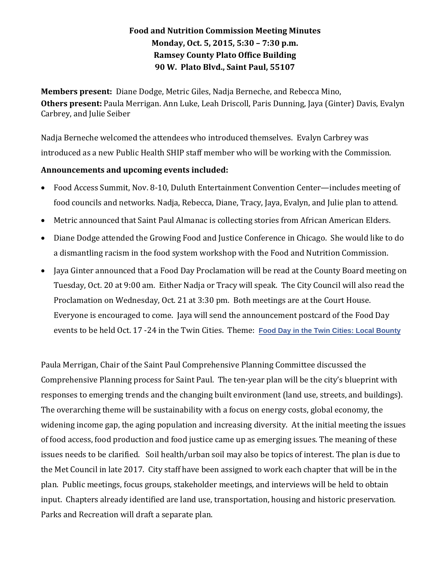## **Food and Nutrition Commission Meeting Minutes Monday, Oct. 5, 2015, 5:30 – 7:30 p.m. Ramsey County Plato Office Building 90 W. Plato Blvd., Saint Paul, 55107**

**Members present:** Diane Dodge, Metric Giles, Nadja Berneche, and Rebecca Mino, **Others present:** Paula Merrigan. Ann Luke, Leah Driscoll, Paris Dunning, Jaya (Ginter) Davis, Evalyn Carbrey, and Julie Seiber

Nadja Berneche welcomed the attendees who introduced themselves. Evalyn Carbrey was introduced as a new Public Health SHIP staff member who will be working with the Commission.

## **Announcements and upcoming events included:**

- Food Access Summit, Nov. 8-10, Duluth Entertainment Convention Center—includes meeting of food councils and networks. Nadja, Rebecca, Diane, Tracy, Jaya, Evalyn, and Julie plan to attend.
- Metric announced that Saint Paul Almanac is collecting stories from African American Elders.
- Diane Dodge attended the Growing Food and Justice Conference in Chicago. She would like to do a dismantling racism in the food system workshop with the Food and Nutrition Commission.
- Jaya Ginter announced that a Food Day Proclamation will be read at the County Board meeting on Tuesday, Oct. 20 at 9:00 am. Either Nadja or Tracy will speak. The City Council will also read the Proclamation on Wednesday, Oct. 21 at 3:30 pm. Both meetings are at the Court House. Everyone is encouraged to come. Jaya will send the announcement postcard of the Food Day events to be held Oct. 17 -24 in the Twin Cities. Theme: **[Food Day in the Twin Cities: Local Bounty](https://www.facebook.com/events/1014422448597288/?ref=106&action_history=null)**

Paula Merrigan, Chair of the Saint Paul Comprehensive Planning Committee discussed the Comprehensive Planning process for Saint Paul. The ten-year plan will be the city's blueprint with responses to emerging trends and the changing built environment (land use, streets, and buildings). The overarching theme will be sustainability with a focus on energy costs, global economy, the widening income gap, the aging population and increasing diversity. At the initial meeting the issues of food access, food production and food justice came up as emerging issues. The meaning of these issues needs to be clarified. Soil health/urban soil may also be topics of interest. The plan is due to the Met Council in late 2017. City staff have been assigned to work each chapter that will be in the plan. Public meetings, focus groups, stakeholder meetings, and interviews will be held to obtain input. Chapters already identified are land use, transportation, housing and historic preservation. Parks and Recreation will draft a separate plan.